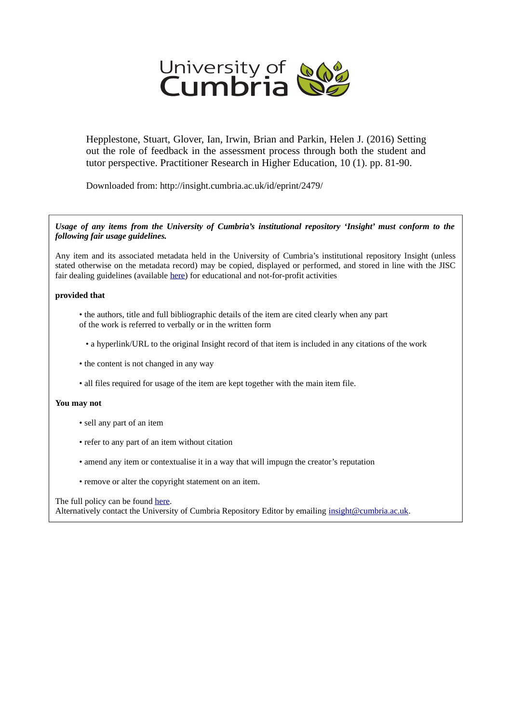

Hepplestone, Stuart, Glover, Ian, Irwin, Brian and Parkin, Helen J. (2016) Setting out the role of feedback in the assessment process through both the student and tutor perspective. Practitioner Research in Higher Education, 10 (1). pp. 81-90.

Downloaded from: http://insight.cumbria.ac.uk/id/eprint/2479/

#### *Usage of any items from the University of Cumbria's institutional repository 'Insight' must conform to the following fair usage guidelines.*

Any item and its associated metadata held in the University of Cumbria's institutional repository Insight (unless stated otherwise on the metadata record) may be copied, displayed or performed, and stored in line with the JISC fair dealing guidelines (available [here\)](http://www.ukoln.ac.uk/services/elib/papers/pa/fair/) for educational and not-for-profit activities

#### **provided that**

- the authors, title and full bibliographic details of the item are cited clearly when any part of the work is referred to verbally or in the written form
	- a hyperlink/URL to the original Insight record of that item is included in any citations of the work
- the content is not changed in any way
- all files required for usage of the item are kept together with the main item file.

#### **You may not**

- sell any part of an item
- refer to any part of an item without citation
- amend any item or contextualise it in a way that will impugn the creator's reputation
- remove or alter the copyright statement on an item.

#### The full policy can be found [here.](http://insight.cumbria.ac.uk/legal.html#section5)

Alternatively contact the University of Cumbria Repository Editor by emailing [insight@cumbria.ac.uk.](mailto:insight@cumbria.ac.uk)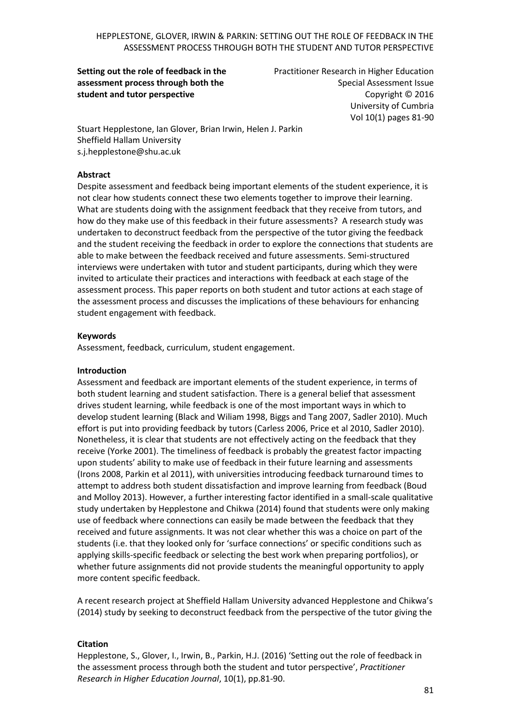**Setting out the role of feedback in the assessment process through both the student and tutor perspective**

Practitioner Research in Higher Education Special Assessment Issue Copyright © 2016 University of Cumbria Vol 10(1) pages 81-90

Stuart Hepplestone, Ian Glover, Brian Irwin, Helen J. Parkin Sheffield Hallam University [s.j.hepplestone@shu.ac.uk](mailto:s.j.hepplestone@shu.ac.uk)

#### **Abstract**

Despite assessment and feedback being important elements of the student experience, it is not clear how students connect these two elements together to improve their learning. What are students doing with the assignment feedback that they receive from tutors, and how do they make use of this feedback in their future assessments? A research study was undertaken to deconstruct feedback from the perspective of the tutor giving the feedback and the student receiving the feedback in order to explore the connections that students are able to make between the feedback received and future assessments. Semi-structured interviews were undertaken with tutor and student participants, during which they were invited to articulate their practices and interactions with feedback at each stage of the assessment process. This paper reports on both student and tutor actions at each stage of the assessment process and discusses the implications of these behaviours for enhancing student engagement with feedback.

#### **Keywords**

Assessment, feedback, curriculum, student engagement.

#### **Introduction**

Assessment and feedback are important elements of the student experience, in terms of both student learning and student satisfaction. There is a general belief that assessment drives student learning, while feedback is one of the most important ways in which to develop student learning (Black and Wiliam 1998, Biggs and Tang 2007, Sadler 2010). Much effort is put into providing feedback by tutors (Carless 2006, Price et al 2010, Sadler 2010). Nonetheless, it is clear that students are not effectively acting on the feedback that they receive (Yorke 2001). The timeliness of feedback is probably the greatest factor impacting upon students' ability to make use of feedback in their future learning and assessments (Irons 2008, Parkin et al 2011), with universities introducing feedback turnaround times to attempt to address both student dissatisfaction and improve learning from feedback (Boud and Molloy 2013). However, a further interesting factor identified in a small-scale qualitative study undertaken by Hepplestone and Chikwa (2014) found that students were only making use of feedback where connections can easily be made between the feedback that they received and future assignments. It was not clear whether this was a choice on part of the students (i.e. that they looked only for 'surface connections' or specific conditions such as applying skills-specific feedback or selecting the best work when preparing portfolios), or whether future assignments did not provide students the meaningful opportunity to apply more content specific feedback.

A recent research project at Sheffield Hallam University advanced Hepplestone and Chikwa's (2014) study by seeking to deconstruct feedback from the perspective of the tutor giving the

#### **Citation**

Hepplestone, S., Glover, I., Irwin, B., Parkin, H.J. (2016) 'Setting out the role of feedback in the assessment process through both the student and tutor perspective', *Practitioner Research in Higher Education Journal*, 10(1), pp.81-90.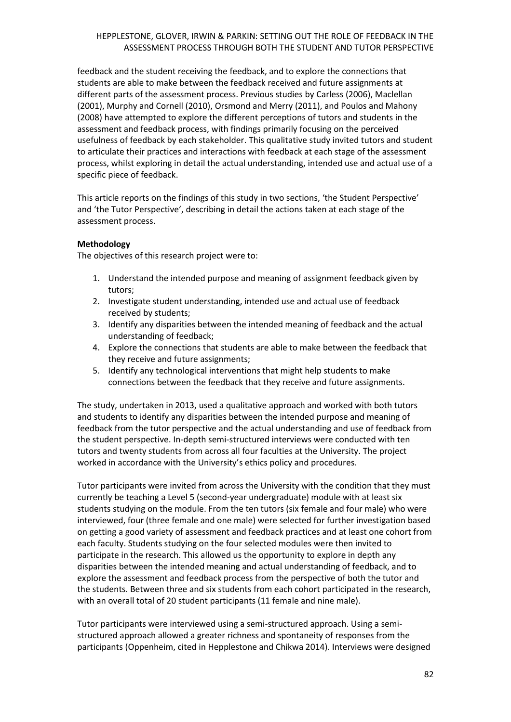feedback and the student receiving the feedback, and to explore the connections that students are able to make between the feedback received and future assignments at different parts of the assessment process. Previous studies by Carless (2006), Maclellan (2001), Murphy and Cornell (2010), Orsmond and Merry (2011), and Poulos and Mahony (2008) have attempted to explore the different perceptions of tutors and students in the assessment and feedback process, with findings primarily focusing on the perceived usefulness of feedback by each stakeholder. This qualitative study invited tutors and student to articulate their practices and interactions with feedback at each stage of the assessment process, whilst exploring in detail the actual understanding, intended use and actual use of a specific piece of feedback.

This article reports on the findings of this study in two sections, 'the Student Perspective' and 'the Tutor Perspective', describing in detail the actions taken at each stage of the assessment process.

### **Methodology**

The objectives of this research project were to:

- 1. Understand the intended purpose and meaning of assignment feedback given by tutors;
- 2. Investigate student understanding, intended use and actual use of feedback received by students;
- 3. Identify any disparities between the intended meaning of feedback and the actual understanding of feedback;
- 4. Explore the connections that students are able to make between the feedback that they receive and future assignments;
- 5. Identify any technological interventions that might help students to make connections between the feedback that they receive and future assignments.

The study, undertaken in 2013, used a qualitative approach and worked with both tutors and students to identify any disparities between the intended purpose and meaning of feedback from the tutor perspective and the actual understanding and use of feedback from the student perspective. In-depth semi-structured interviews were conducted with ten tutors and twenty students from across all four faculties at the University. The project worked in accordance with the University's ethics policy and procedures.

Tutor participants were invited from across the University with the condition that they must currently be teaching a Level 5 (second-year undergraduate) module with at least six students studying on the module. From the ten tutors (six female and four male) who were interviewed, four (three female and one male) were selected for further investigation based on getting a good variety of assessment and feedback practices and at least one cohort from each faculty. Students studying on the four selected modules were then invited to participate in the research. This allowed us the opportunity to explore in depth any disparities between the intended meaning and actual understanding of feedback, and to explore the assessment and feedback process from the perspective of both the tutor and the students. Between three and six students from each cohort participated in the research, with an overall total of 20 student participants (11 female and nine male).

Tutor participants were interviewed using a semi-structured approach. Using a semistructured approach allowed a greater richness and spontaneity of responses from the participants (Oppenheim, cited in Hepplestone and Chikwa 2014). Interviews were designed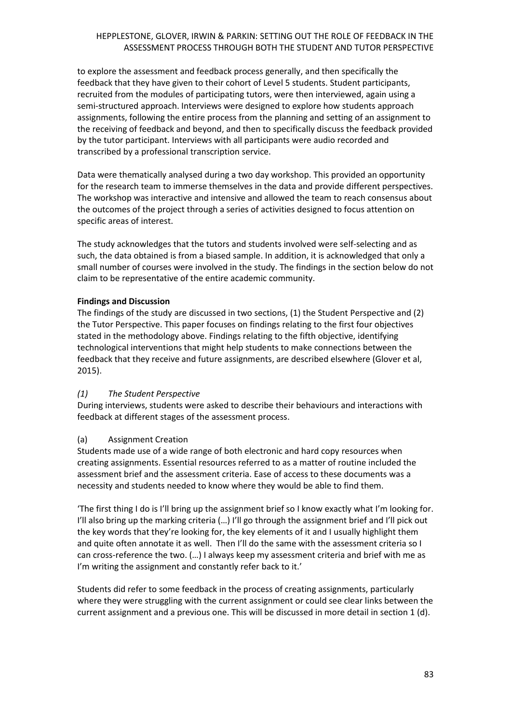to explore the assessment and feedback process generally, and then specifically the feedback that they have given to their cohort of Level 5 students. Student participants, recruited from the modules of participating tutors, were then interviewed, again using a semi-structured approach. Interviews were designed to explore how students approach assignments, following the entire process from the planning and setting of an assignment to the receiving of feedback and beyond, and then to specifically discuss the feedback provided by the tutor participant. Interviews with all participants were audio recorded and transcribed by a professional transcription service.

Data were thematically analysed during a two day workshop. This provided an opportunity for the research team to immerse themselves in the data and provide different perspectives. The workshop was interactive and intensive and allowed the team to reach consensus about the outcomes of the project through a series of activities designed to focus attention on specific areas of interest.

The study acknowledges that the tutors and students involved were self-selecting and as such, the data obtained is from a biased sample. In addition, it is acknowledged that only a small number of courses were involved in the study. The findings in the section below do not claim to be representative of the entire academic community.

### **Findings and Discussion**

The findings of the study are discussed in two sections, (1) the Student Perspective and (2) the Tutor Perspective. This paper focuses on findings relating to the first four objectives stated in the methodology above. Findings relating to the fifth objective, identifying technological interventions that might help students to make connections between the feedback that they receive and future assignments, are described elsewhere (Glover et al, 2015).

# *(1) The Student Perspective*

During interviews, students were asked to describe their behaviours and interactions with feedback at different stages of the assessment process.

# (a) Assignment Creation

Students made use of a wide range of both electronic and hard copy resources when creating assignments. Essential resources referred to as a matter of routine included the assessment brief and the assessment criteria. Ease of access to these documents was a necessity and students needed to know where they would be able to find them.

'The first thing I do is I'll bring up the assignment brief so I know exactly what I'm looking for. I'll also bring up the marking criteria (…) I'll go through the assignment brief and I'll pick out the key words that they're looking for, the key elements of it and I usually highlight them and quite often annotate it as well. Then I'll do the same with the assessment criteria so I can cross-reference the two. (…) I always keep my assessment criteria and brief with me as I'm writing the assignment and constantly refer back to it.'

Students did refer to some feedback in the process of creating assignments, particularly where they were struggling with the current assignment or could see clear links between the current assignment and a previous one. This will be discussed in more detail in section 1 (d).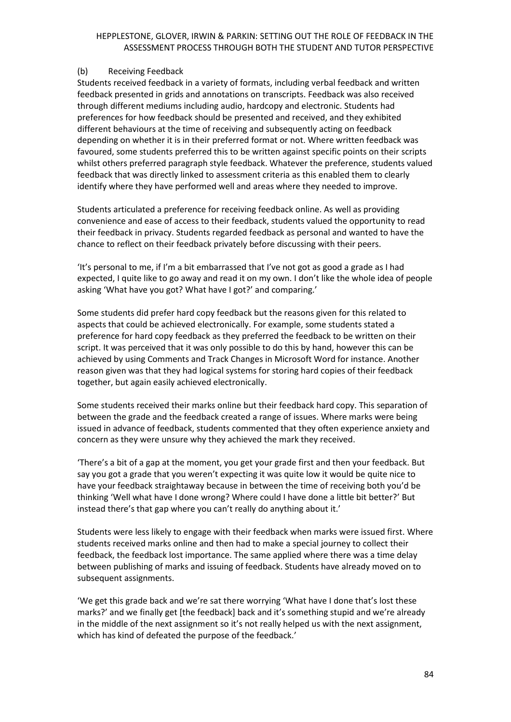#### (b) Receiving Feedback

Students received feedback in a variety of formats, including verbal feedback and written feedback presented in grids and annotations on transcripts. Feedback was also received through different mediums including audio, hardcopy and electronic. Students had preferences for how feedback should be presented and received, and they exhibited different behaviours at the time of receiving and subsequently acting on feedback depending on whether it is in their preferred format or not. Where written feedback was favoured, some students preferred this to be written against specific points on their scripts whilst others preferred paragraph style feedback. Whatever the preference, students valued feedback that was directly linked to assessment criteria as this enabled them to clearly identify where they have performed well and areas where they needed to improve.

Students articulated a preference for receiving feedback online. As well as providing convenience and ease of access to their feedback, students valued the opportunity to read their feedback in privacy. Students regarded feedback as personal and wanted to have the chance to reflect on their feedback privately before discussing with their peers.

'It's personal to me, if I'm a bit embarrassed that I've not got as good a grade as I had expected, I quite like to go away and read it on my own. I don't like the whole idea of people asking 'What have you got? What have I got?' and comparing.'

Some students did prefer hard copy feedback but the reasons given for this related to aspects that could be achieved electronically. For example, some students stated a preference for hard copy feedback as they preferred the feedback to be written on their script. It was perceived that it was only possible to do this by hand, however this can be achieved by using Comments and Track Changes in Microsoft Word for instance. Another reason given was that they had logical systems for storing hard copies of their feedback together, but again easily achieved electronically.

Some students received their marks online but their feedback hard copy. This separation of between the grade and the feedback created a range of issues. Where marks were being issued in advance of feedback, students commented that they often experience anxiety and concern as they were unsure why they achieved the mark they received.

'There's a bit of a gap at the moment, you get your grade first and then your feedback. But say you got a grade that you weren't expecting it was quite low it would be quite nice to have your feedback straightaway because in between the time of receiving both you'd be thinking 'Well what have I done wrong? Where could I have done a little bit better?' But instead there's that gap where you can't really do anything about it.'

Students were less likely to engage with their feedback when marks were issued first. Where students received marks online and then had to make a special journey to collect their feedback, the feedback lost importance. The same applied where there was a time delay between publishing of marks and issuing of feedback. Students have already moved on to subsequent assignments.

'We get this grade back and we're sat there worrying 'What have I done that's lost these marks?' and we finally get [the feedback] back and it's something stupid and we're already in the middle of the next assignment so it's not really helped us with the next assignment, which has kind of defeated the purpose of the feedback.'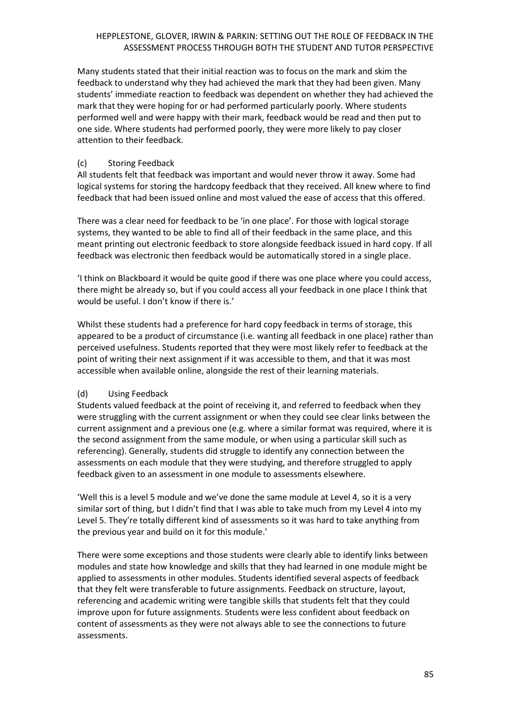Many students stated that their initial reaction was to focus on the mark and skim the feedback to understand why they had achieved the mark that they had been given. Many students' immediate reaction to feedback was dependent on whether they had achieved the mark that they were hoping for or had performed particularly poorly. Where students performed well and were happy with their mark, feedback would be read and then put to one side. Where students had performed poorly, they were more likely to pay closer attention to their feedback.

# (c) Storing Feedback

All students felt that feedback was important and would never throw it away. Some had logical systems for storing the hardcopy feedback that they received. All knew where to find feedback that had been issued online and most valued the ease of access that this offered.

There was a clear need for feedback to be 'in one place'. For those with logical storage systems, they wanted to be able to find all of their feedback in the same place, and this meant printing out electronic feedback to store alongside feedback issued in hard copy. If all feedback was electronic then feedback would be automatically stored in a single place.

'I think on Blackboard it would be quite good if there was one place where you could access, there might be already so, but if you could access all your feedback in one place I think that would be useful. I don't know if there is.'

Whilst these students had a preference for hard copy feedback in terms of storage, this appeared to be a product of circumstance (i.e. wanting all feedback in one place) rather than perceived usefulness. Students reported that they were most likely refer to feedback at the point of writing their next assignment if it was accessible to them, and that it was most accessible when available online, alongside the rest of their learning materials.

# (d) Using Feedback

Students valued feedback at the point of receiving it, and referred to feedback when they were struggling with the current assignment or when they could see clear links between the current assignment and a previous one (e.g. where a similar format was required, where it is the second assignment from the same module, or when using a particular skill such as referencing). Generally, students did struggle to identify any connection between the assessments on each module that they were studying, and therefore struggled to apply feedback given to an assessment in one module to assessments elsewhere.

'Well this is a level 5 module and we've done the same module at Level 4, so it is a very similar sort of thing, but I didn't find that I was able to take much from my Level 4 into my Level 5. They're totally different kind of assessments so it was hard to take anything from the previous year and build on it for this module.'

There were some exceptions and those students were clearly able to identify links between modules and state how knowledge and skills that they had learned in one module might be applied to assessments in other modules. Students identified several aspects of feedback that they felt were transferable to future assignments. Feedback on structure, layout, referencing and academic writing were tangible skills that students felt that they could improve upon for future assignments. Students were less confident about feedback on content of assessments as they were not always able to see the connections to future assessments.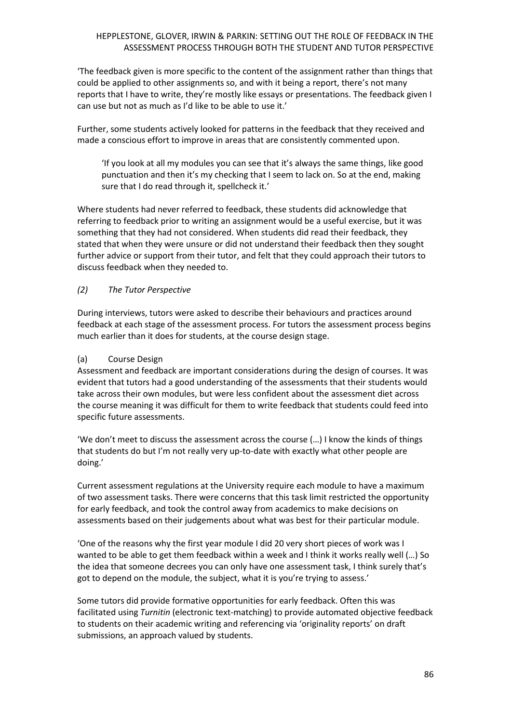'The feedback given is more specific to the content of the assignment rather than things that could be applied to other assignments so, and with it being a report, there's not many reports that I have to write, they're mostly like essays or presentations. The feedback given I can use but not as much as I'd like to be able to use it.'

Further, some students actively looked for patterns in the feedback that they received and made a conscious effort to improve in areas that are consistently commented upon.

'If you look at all my modules you can see that it's always the same things, like good punctuation and then it's my checking that I seem to lack on. So at the end, making sure that I do read through it, spellcheck it.'

Where students had never referred to feedback, these students did acknowledge that referring to feedback prior to writing an assignment would be a useful exercise, but it was something that they had not considered. When students did read their feedback, they stated that when they were unsure or did not understand their feedback then they sought further advice or support from their tutor, and felt that they could approach their tutors to discuss feedback when they needed to.

# *(2) The Tutor Perspective*

During interviews, tutors were asked to describe their behaviours and practices around feedback at each stage of the assessment process. For tutors the assessment process begins much earlier than it does for students, at the course design stage.

#### (a) Course Design

Assessment and feedback are important considerations during the design of courses. It was evident that tutors had a good understanding of the assessments that their students would take across their own modules, but were less confident about the assessment diet across the course meaning it was difficult for them to write feedback that students could feed into specific future assessments.

'We don't meet to discuss the assessment across the course (…) I know the kinds of things that students do but I'm not really very up‐to‐date with exactly what other people are doing.'

Current assessment regulations at the University require each module to have a maximum of two assessment tasks. There were concerns that this task limit restricted the opportunity for early feedback, and took the control away from academics to make decisions on assessments based on their judgements about what was best for their particular module.

'One of the reasons why the first year module I did 20 very short pieces of work was I wanted to be able to get them feedback within a week and I think it works really well (…) So the idea that someone decrees you can only have one assessment task, I think surely that's got to depend on the module, the subject, what it is you're trying to assess.'

Some tutors did provide formative opportunities for early feedback. Often this was facilitated using *Turnitin* (electronic text-matching) to provide automated objective feedback to students on their academic writing and referencing via 'originality reports' on draft submissions, an approach valued by students.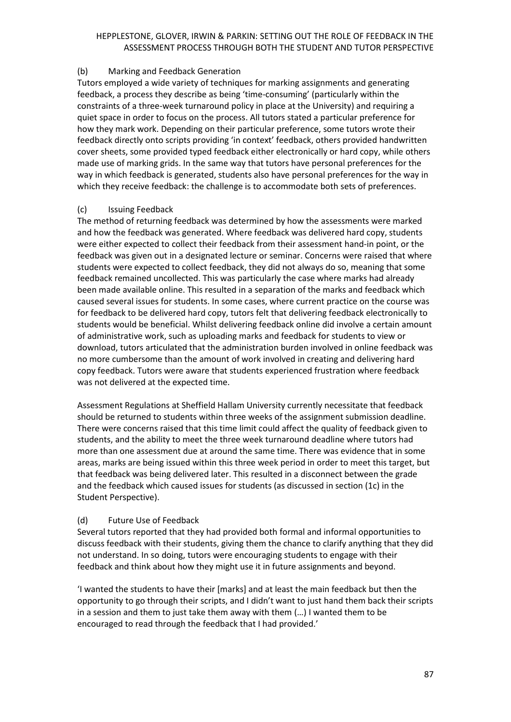# (b) Marking and Feedback Generation

Tutors employed a wide variety of techniques for marking assignments and generating feedback, a process they describe as being 'time-consuming' (particularly within the constraints of a three-week turnaround policy in place at the University) and requiring a quiet space in order to focus on the process. All tutors stated a particular preference for how they mark work. Depending on their particular preference, some tutors wrote their feedback directly onto scripts providing 'in context' feedback, others provided handwritten cover sheets, some provided typed feedback either electronically or hard copy, while others made use of marking grids. In the same way that tutors have personal preferences for the way in which feedback is generated, students also have personal preferences for the way in which they receive feedback: the challenge is to accommodate both sets of preferences.

# (c) Issuing Feedback

The method of returning feedback was determined by how the assessments were marked and how the feedback was generated. Where feedback was delivered hard copy, students were either expected to collect their feedback from their assessment hand-in point, or the feedback was given out in a designated lecture or seminar. Concerns were raised that where students were expected to collect feedback, they did not always do so, meaning that some feedback remained uncollected. This was particularly the case where marks had already been made available online. This resulted in a separation of the marks and feedback which caused several issues for students. In some cases, where current practice on the course was for feedback to be delivered hard copy, tutors felt that delivering feedback electronically to students would be beneficial. Whilst delivering feedback online did involve a certain amount of administrative work, such as uploading marks and feedback for students to view or download, tutors articulated that the administration burden involved in online feedback was no more cumbersome than the amount of work involved in creating and delivering hard copy feedback. Tutors were aware that students experienced frustration where feedback was not delivered at the expected time.

Assessment Regulations at Sheffield Hallam University currently necessitate that feedback should be returned to students within three weeks of the assignment submission deadline. There were concerns raised that this time limit could affect the quality of feedback given to students, and the ability to meet the three week turnaround deadline where tutors had more than one assessment due at around the same time. There was evidence that in some areas, marks are being issued within this three week period in order to meet this target, but that feedback was being delivered later. This resulted in a disconnect between the grade and the feedback which caused issues for students (as discussed in section (1c) in the Student Perspective).

# (d) Future Use of Feedback

Several tutors reported that they had provided both formal and informal opportunities to discuss feedback with their students, giving them the chance to clarify anything that they did not understand. In so doing, tutors were encouraging students to engage with their feedback and think about how they might use it in future assignments and beyond.

'I wanted the students to have their [marks] and at least the main feedback but then the opportunity to go through their scripts, and I didn't want to just hand them back their scripts in a session and them to just take them away with them (…) I wanted them to be encouraged to read through the feedback that I had provided.'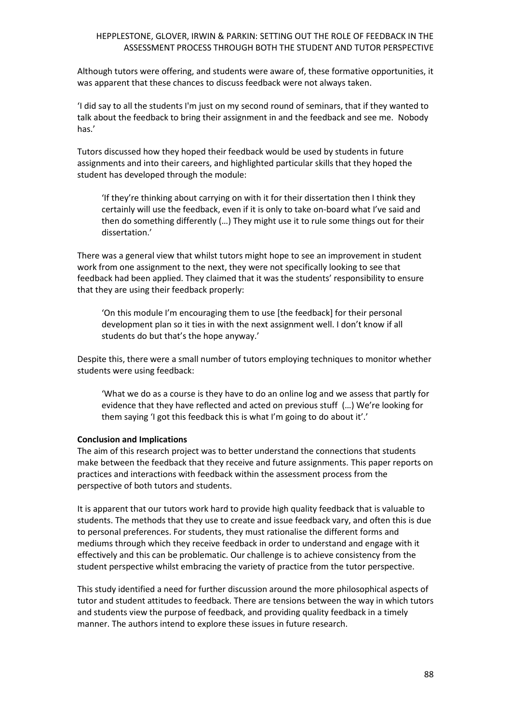Although tutors were offering, and students were aware of, these formative opportunities, it was apparent that these chances to discuss feedback were not always taken.

'I did say to all the students I'm just on my second round of seminars, that if they wanted to talk about the feedback to bring their assignment in and the feedback and see me. Nobody has.'

Tutors discussed how they hoped their feedback would be used by students in future assignments and into their careers, and highlighted particular skills that they hoped the student has developed through the module:

'If they're thinking about carrying on with it for their dissertation then I think they certainly will use the feedback, even if it is only to take on‐board what I've said and then do something differently (…) They might use it to rule some things out for their dissertation.'

There was a general view that whilst tutors might hope to see an improvement in student work from one assignment to the next, they were not specifically looking to see that feedback had been applied. They claimed that it was the students' responsibility to ensure that they are using their feedback properly:

'On this module I'm encouraging them to use [the feedback] for their personal development plan so it ties in with the next assignment well. I don't know if all students do but that's the hope anyway.'

Despite this, there were a small number of tutors employing techniques to monitor whether students were using feedback:

'What we do as a course is they have to do an online log and we assess that partly for evidence that they have reflected and acted on previous stuff (…) We're looking for them saying 'I got this feedback this is what I'm going to do about it'.'

#### **Conclusion and Implications**

The aim of this research project was to better understand the connections that students make between the feedback that they receive and future assignments. This paper reports on practices and interactions with feedback within the assessment process from the perspective of both tutors and students.

It is apparent that our tutors work hard to provide high quality feedback that is valuable to students. The methods that they use to create and issue feedback vary, and often this is due to personal preferences. For students, they must rationalise the different forms and mediums through which they receive feedback in order to understand and engage with it effectively and this can be problematic. Our challenge is to achieve consistency from the student perspective whilst embracing the variety of practice from the tutor perspective.

This study identified a need for further discussion around the more philosophical aspects of tutor and student attitudes to feedback. There are tensions between the way in which tutors and students view the purpose of feedback, and providing quality feedback in a timely manner. The authors intend to explore these issues in future research.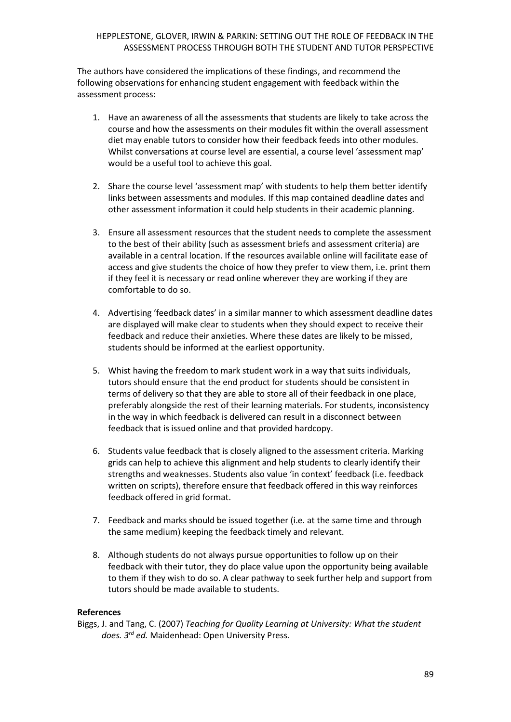The authors have considered the implications of these findings, and recommend the following observations for enhancing student engagement with feedback within the assessment process:

- 1. Have an awareness of all the assessments that students are likely to take across the course and how the assessments on their modules fit within the overall assessment diet may enable tutors to consider how their feedback feeds into other modules. Whilst conversations at course level are essential, a course level 'assessment map' would be a useful tool to achieve this goal.
- 2. Share the course level 'assessment map' with students to help them better identify links between assessments and modules. If this map contained deadline dates and other assessment information it could help students in their academic planning.
- 3. Ensure all assessment resources that the student needs to complete the assessment to the best of their ability (such as assessment briefs and assessment criteria) are available in a central location. If the resources available online will facilitate ease of access and give students the choice of how they prefer to view them, i.e. print them if they feel it is necessary or read online wherever they are working if they are comfortable to do so.
- 4. Advertising 'feedback dates' in a similar manner to which assessment deadline dates are displayed will make clear to students when they should expect to receive their feedback and reduce their anxieties. Where these dates are likely to be missed, students should be informed at the earliest opportunity.
- 5. Whist having the freedom to mark student work in a way that suits individuals, tutors should ensure that the end product for students should be consistent in terms of delivery so that they are able to store all of their feedback in one place, preferably alongside the rest of their learning materials. For students, inconsistency in the way in which feedback is delivered can result in a disconnect between feedback that is issued online and that provided hardcopy.
- 6. Students value feedback that is closely aligned to the assessment criteria. Marking grids can help to achieve this alignment and help students to clearly identify their strengths and weaknesses. Students also value 'in context' feedback (i.e. feedback written on scripts), therefore ensure that feedback offered in this way reinforces feedback offered in grid format.
- 7. Feedback and marks should be issued together (i.e. at the same time and through the same medium) keeping the feedback timely and relevant.
- 8. Although students do not always pursue opportunities to follow up on their feedback with their tutor, they do place value upon the opportunity being available to them if they wish to do so. A clear pathway to seek further help and support from tutors should be made available to students.

#### **References**

Biggs, J. and Tang, C. (2007) *Teaching for Quality Learning at University: What the student does. 3rd ed.* Maidenhead: Open University Press.